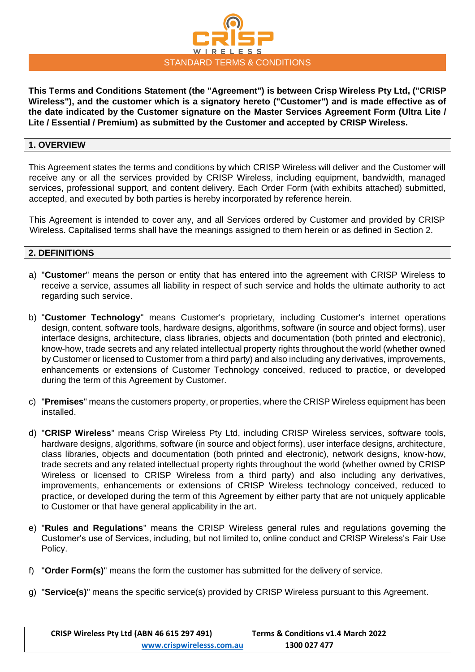

**This Terms and Conditions Statement (the "Agreement") is between Crisp Wireless Pty Ltd, ("CRISP Wireless"), and the customer which is a signatory hereto ("Customer") and is made effective as of the date indicated by the Customer signature on the Master Services Agreement Form (Ultra Lite / Lite / Essential / Premium) as submitted by the Customer and accepted by CRISP Wireless.** 

# **1. OVERVIEW**

This Agreement states the terms and conditions by which CRISP Wireless will deliver and the Customer will receive any or all the services provided by CRISP Wireless, including equipment, bandwidth, managed services, professional support, and content delivery. Each Order Form (with exhibits attached) submitted, accepted, and executed by both parties is hereby incorporated by reference herein.

This Agreement is intended to cover any, and all Services ordered by Customer and provided by CRISP Wireless. Capitalised terms shall have the meanings assigned to them herein or as defined in Section 2.

#### **2. DEFINITIONS**

- a) "**Customer**" means the person or entity that has entered into the agreement with CRISP Wireless to receive a service, assumes all liability in respect of such service and holds the ultimate authority to act regarding such service.
- b) "**Customer Technology**" means Customer's proprietary, including Customer's internet operations design, content, software tools, hardware designs, algorithms, software (in source and object forms), user interface designs, architecture, class libraries, objects and documentation (both printed and electronic), know-how, trade secrets and any related intellectual property rights throughout the world (whether owned by Customer or licensed to Customer from a third party) and also including any derivatives, improvements, enhancements or extensions of Customer Technology conceived, reduced to practice, or developed during the term of this Agreement by Customer.
- c) "**Premises**" means the customers property, or properties, where the CRISP Wireless equipment has been installed.
- d) "**CRISP Wireless**" means Crisp Wireless Pty Ltd, including CRISP Wireless services, software tools, hardware designs, algorithms, software (in source and object forms), user interface designs, architecture, class libraries, objects and documentation (both printed and electronic), network designs, know-how, trade secrets and any related intellectual property rights throughout the world (whether owned by CRISP Wireless or licensed to CRISP Wireless from a third party) and also including any derivatives, improvements, enhancements or extensions of CRISP Wireless technology conceived, reduced to practice, or developed during the term of this Agreement by either party that are not uniquely applicable to Customer or that have general applicability in the art.
- e) "**Rules and Regulations**" means the CRISP Wireless general rules and regulations governing the Customer's use of Services, including, but not limited to, online conduct and CRISP Wireless's Fair Use Policy.
- f) "**Order Form(s)**" means the form the customer has submitted for the delivery of service.
- g) "**Service(s)**" means the specific service(s) provided by CRISP Wireless pursuant to this Agreement.

| CRISP Wireless Pty Ltd (ABN 46 615 297 491) | Terms & Conditions v1.4 March 2022 |
|---------------------------------------------|------------------------------------|
| www.crispwirelesss.com.au                   | 1300 027 477                       |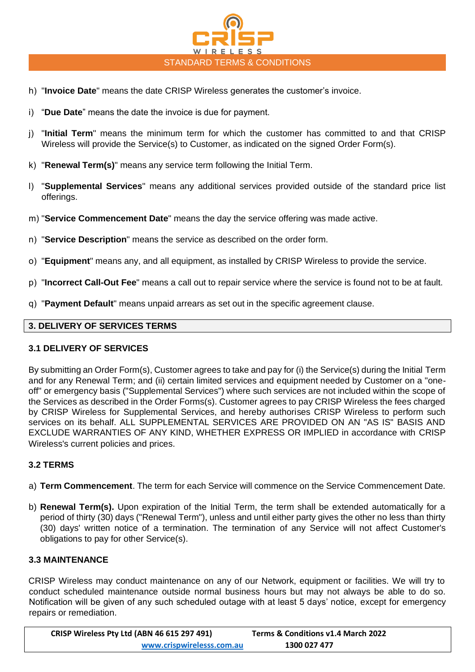

- h) "**Invoice Date**" means the date CRISP Wireless generates the customer's invoice.
- i) "**Due Date**" means the date the invoice is due for payment.
- j) "**Initial Term**" means the minimum term for which the customer has committed to and that CRISP Wireless will provide the Service(s) to Customer, as indicated on the signed Order Form(s).
- k) "**Renewal Term(s)**" means any service term following the Initial Term.
- l) "**Supplemental Services**" means any additional services provided outside of the standard price list offerings.
- m) "**Service Commencement Date**" means the day the service offering was made active.
- n) "**Service Description**" means the service as described on the order form.
- o) "**Equipment**" means any, and all equipment, as installed by CRISP Wireless to provide the service.
- p) "**Incorrect Call-Out Fee**" means a call out to repair service where the service is found not to be at fault.
- q) "**Payment Default**" means unpaid arrears as set out in the specific agreement clause.

# **3. DELIVERY OF SERVICES TERMS**

# **3.1 DELIVERY OF SERVICES**

By submitting an Order Form(s), Customer agrees to take and pay for (i) the Service(s) during the Initial Term and for any Renewal Term; and (ii) certain limited services and equipment needed by Customer on a "oneoff" or emergency basis ("Supplemental Services") where such services are not included within the scope of the Services as described in the Order Forms(s). Customer agrees to pay CRISP Wireless the fees charged by CRISP Wireless for Supplemental Services, and hereby authorises CRISP Wireless to perform such services on its behalf. ALL SUPPLEMENTAL SERVICES ARE PROVIDED ON AN "AS IS" BASIS AND EXCLUDE WARRANTIES OF ANY KIND, WHETHER EXPRESS OR IMPLIED in accordance with CRISP Wireless's current policies and prices.

# **3.2 TERMS**

- a) **Term Commencement**. The term for each Service will commence on the Service Commencement Date.
- b) **Renewal Term(s).** Upon expiration of the Initial Term, the term shall be extended automatically for a period of thirty (30) days ("Renewal Term"), unless and until either party gives the other no less than thirty (30) days' written notice of a termination. The termination of any Service will not affect Customer's obligations to pay for other Service(s).

# **3.3 MAINTENANCE**

CRISP Wireless may conduct maintenance on any of our Network, equipment or facilities. We will try to conduct scheduled maintenance outside normal business hours but may not always be able to do so. Notification will be given of any such scheduled outage with at least 5 days' notice, except for emergency repairs or remediation.

| CRISP Wireless Pty Ltd (ABN 46 615 297 491) | Terms & Conditions v1.4 March 2022 |
|---------------------------------------------|------------------------------------|
| www.crispwirelesss.com.au                   | 1300 027 477                       |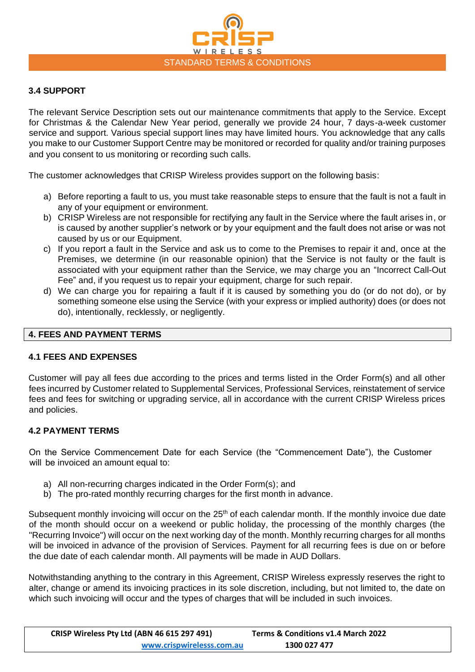

# **3.4 SUPPORT**

The relevant Service Description sets out our maintenance commitments that apply to the Service. Except for Christmas & the Calendar New Year period, generally we provide 24 hour, 7 days-a-week customer service and support. Various special support lines may have limited hours. You acknowledge that any calls you make to our Customer Support Centre may be monitored or recorded for quality and/or training purposes and you consent to us monitoring or recording such calls.

The customer acknowledges that CRISP Wireless provides support on the following basis:

- a) Before reporting a fault to us, you must take reasonable steps to ensure that the fault is not a fault in any of your equipment or environment.
- b) CRISP Wireless are not responsible for rectifying any fault in the Service where the fault arises in, or is caused by another supplier's network or by your equipment and the fault does not arise or was not caused by us or our Equipment.
- c) If you report a fault in the Service and ask us to come to the Premises to repair it and, once at the Premises, we determine (in our reasonable opinion) that the Service is not faulty or the fault is associated with your equipment rather than the Service, we may charge you an "Incorrect Call-Out Fee" and, if you request us to repair your equipment, charge for such repair.
- d) We can charge you for repairing a fault if it is caused by something you do (or do not do), or by something someone else using the Service (with your express or implied authority) does (or does not do), intentionally, recklessly, or negligently.

### **4. FEES AND PAYMENT TERMS**

#### **4.1 FEES AND EXPENSES**

Customer will pay all fees due according to the prices and terms listed in the Order Form(s) and all other fees incurred by Customer related to Supplemental Services, Professional Services, reinstatement of service fees and fees for switching or upgrading service, all in accordance with the current CRISP Wireless prices and policies.

#### **4.2 PAYMENT TERMS**

On the Service Commencement Date for each Service (the "Commencement Date"), the Customer will be invoiced an amount equal to:

- a) All non-recurring charges indicated in the Order Form(s); and
- b) The pro-rated monthly recurring charges for the first month in advance.

Subsequent monthly invoicing will occur on the 25<sup>th</sup> of each calendar month. If the monthly invoice due date of the month should occur on a weekend or public holiday, the processing of the monthly charges (the "Recurring Invoice") will occur on the next working day of the month. Monthly recurring charges for all months will be invoiced in advance of the provision of Services. Payment for all recurring fees is due on or before the due date of each calendar month. All payments will be made in AUD Dollars.

Notwithstanding anything to the contrary in this Agreement, CRISP Wireless expressly reserves the right to alter, change or amend its invoicing practices in its sole discretion, including, but not limited to, the date on which such invoicing will occur and the types of charges that will be included in such invoices.

| CRISP Wireless Pty Ltd (ABN 46 615 297 491) | Terms & Conditions v1.4 March 2022 |
|---------------------------------------------|------------------------------------|
| www.crispwirelesss.com.au                   | 1300 027 477                       |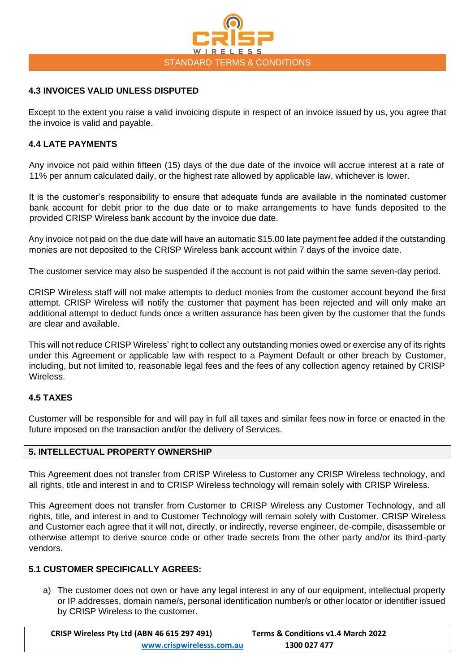

### **4.3 INVOICES VALID UNLESS DISPUTED**

Except to the extent you raise a valid invoicing dispute in respect of an invoice issued by us, you agree that the invoice is valid and payable.

### **4.4 LATE PAYMENTS**

Any invoice not paid within fifteen (15) days of the due date of the invoice will accrue interest at a rate of 11% per annum calculated daily, or the highest rate allowed by applicable law, whichever is lower.

It is the customer's responsibility to ensure that adequate funds are available in the nominated customer bank account for debit prior to the due date or to make arrangements to have funds deposited to the provided CRISP Wireless bank account by the invoice due date.

Any invoice not paid on the due date will have an automatic \$15.00 late payment fee added if the outstanding monies are not deposited to the CRISP Wireless bank account within 7 days of the invoice date.

The customer service may also be suspended if the account is not paid within the same seven-day period.

CRISP Wireless staff will not make attempts to deduct monies from the customer account beyond the first attempt. CRISP Wireless will notify the customer that payment has been rejected and will only make an additional attempt to deduct funds once a written assurance has been given by the customer that the funds are clear and available.

This will not reduce CRISP Wireless' right to collect any outstanding monies owed or exercise any of its rights under this Agreement or applicable law with respect to a Payment Default or other breach by Customer, including, but not limited to, reasonable legal fees and the fees of any collection agency retained by CRISP Wireless.

### **4.5 TAXES**

Customer will be responsible for and will pay in full all taxes and similar fees now in force or enacted in the future imposed on the transaction and/or the delivery of Services.

#### **5. INTELLECTUAL PROPERTY OWNERSHIP**

This Agreement does not transfer from CRISP Wireless to Customer any CRISP Wireless technology, and all rights, title and interest in and to CRISP Wireless technology will remain solely with CRISP Wireless.

This Agreement does not transfer from Customer to CRISP Wireless any Customer Technology, and all rights, title, and interest in and to Customer Technology will remain solely with Customer. CRISP Wireless and Customer each agree that it will not, directly, or indirectly, reverse engineer, de-compile, disassemble or otherwise attempt to derive source code or other trade secrets from the other party and/or its third-party vendors.

#### **5.1 CUSTOMER SPECIFICALLY AGREES:**

a) The customer does not own or have any legal interest in any of our equipment, intellectual property or IP addresses, domain name/s, personal identification number/s or other locator or identifier issued by CRISP Wireless to the customer.

| CRISP Wireless Pty Ltd (ABN 46 615 297 491) | Terms & Conditions v1.4 March 2022 |
|---------------------------------------------|------------------------------------|
| www.crispwirelesss.com.au                   | 1300 027 477                       |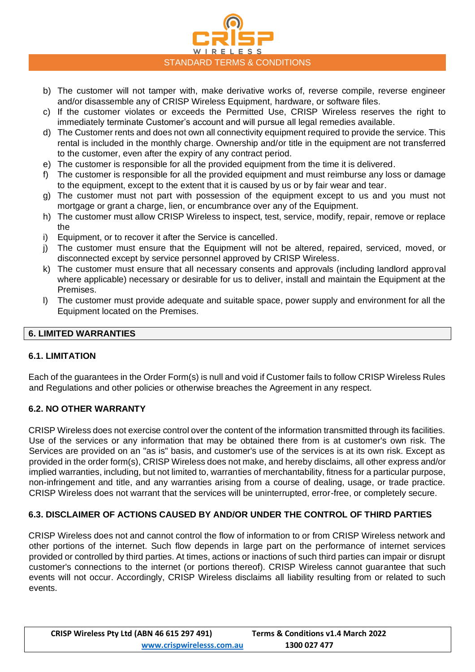

- b) The customer will not tamper with, make derivative works of, reverse compile, reverse engineer and/or disassemble any of CRISP Wireless Equipment, hardware, or software files.
- c) If the customer violates or exceeds the Permitted Use, CRISP Wireless reserves the right to immediately terminate Customer's account and will pursue all legal remedies available.
- d) The Customer rents and does not own all connectivity equipment required to provide the service. This rental is included in the monthly charge. Ownership and/or title in the equipment are not transferred to the customer, even after the expiry of any contract period.
- e) The customer is responsible for all the provided equipment from the time it is delivered.
- f) The customer is responsible for all the provided equipment and must reimburse any loss or damage to the equipment, except to the extent that it is caused by us or by fair wear and tear.
- g) The customer must not part with possession of the equipment except to us and you must not mortgage or grant a charge, lien, or encumbrance over any of the Equipment.
- h) The customer must allow CRISP Wireless to inspect, test, service, modify, repair, remove or replace the
- i) Equipment, or to recover it after the Service is cancelled.
- j) The customer must ensure that the Equipment will not be altered, repaired, serviced, moved, or disconnected except by service personnel approved by CRISP Wireless.
- k) The customer must ensure that all necessary consents and approvals (including landlord approval where applicable) necessary or desirable for us to deliver, install and maintain the Equipment at the Premises.
- l) The customer must provide adequate and suitable space, power supply and environment for all the Equipment located on the Premises.

# **6. LIMITED WARRANTIES**

# **6.1. LIMITATION**

Each of the guarantees in the Order Form(s) is null and void if Customer fails to follow CRISP Wireless Rules and Regulations and other policies or otherwise breaches the Agreement in any respect.

# **6.2. NO OTHER WARRANTY**

CRISP Wireless does not exercise control over the content of the information transmitted through its facilities. Use of the services or any information that may be obtained there from is at customer's own risk. The Services are provided on an "as is" basis, and customer's use of the services is at its own risk. Except as provided in the order form(s), CRISP Wireless does not make, and hereby disclaims, all other express and/or implied warranties, including, but not limited to, warranties of merchantability, fitness for a particular purpose, non-infringement and title, and any warranties arising from a course of dealing, usage, or trade practice. CRISP Wireless does not warrant that the services will be uninterrupted, error-free, or completely secure.

# **6.3. DISCLAIMER OF ACTIONS CAUSED BY AND/OR UNDER THE CONTROL OF THIRD PARTIES**

CRISP Wireless does not and cannot control the flow of information to or from CRISP Wireless network and other portions of the internet. Such flow depends in large part on the performance of internet services provided or controlled by third parties. At times, actions or inactions of such third parties can impair or disrupt customer's connections to the internet (or portions thereof). CRISP Wireless cannot guarantee that such events will not occur. Accordingly, CRISP Wireless disclaims all liability resulting from or related to such events.

| CRISP Wireless Pty Ltd (ABN 46 615 297 491) | Terms & Conditions v1.4 March 2022 |
|---------------------------------------------|------------------------------------|
| www.crispwirelesss.com.au                   | 1300 027 477                       |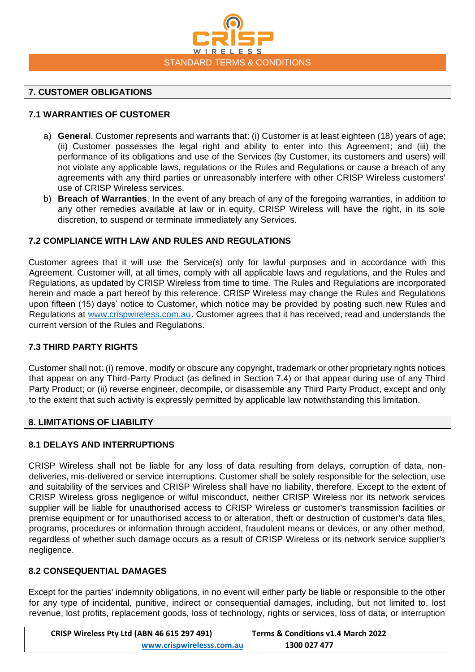

### **7. CUSTOMER OBLIGATIONS**

# **7.1 WARRANTIES OF CUSTOMER**

- a) **General**. Customer represents and warrants that: (i) Customer is at least eighteen (18) years of age; (ii) Customer possesses the legal right and ability to enter into this Agreement; and (iii) the performance of its obligations and use of the Services (by Customer, its customers and users) will not violate any applicable laws, regulations or the Rules and Regulations or cause a breach of any agreements with any third parties or unreasonably interfere with other CRISP Wireless customers' use of CRISP Wireless services.
- b) **Breach of Warranties**. In the event of any breach of any of the foregoing warranties, in addition to any other remedies available at law or in equity, CRISP Wireless will have the right, in its sole discretion, to suspend or terminate immediately any Services.

### **7.2 COMPLIANCE WITH LAW AND RULES AND REGULATIONS**

Customer agrees that it will use the Service(s) only for lawful purposes and in accordance with this Agreement. Customer will, at all times, comply with all applicable laws and regulations, and the Rules and Regulations, as updated by CRISP Wireless from time to time. The Rules and Regulations are incorporated herein and made a part hereof by this reference. CRISP Wireless may change the Rules and Regulations upon fifteen (15) days' notice to Customer, which notice may be provided by posting such new Rules and Regulations at [www.crispwireless.com.au.](http://www.crispwireless.com.au/) Customer agrees that it has received, read and understands the current version of the Rules and Regulations.

# **7.3 THIRD PARTY RIGHTS**

Customer shall not: (i) remove, modify or obscure any copyright, trademark or other proprietary rights notices that appear on any Third-Party Product (as defined in Section 7.4) or that appear during use of any Third Party Product; or (ii) reverse engineer, decompile, or disassemble any Third Party Product, except and only to the extent that such activity is expressly permitted by applicable law notwithstanding this limitation.

# **8. LIMITATIONS OF LIABILITY**

# **8.1 DELAYS AND INTERRUPTIONS**

CRISP Wireless shall not be liable for any loss of data resulting from delays, corruption of data, nondeliveries, mis-delivered or service interruptions. Customer shall be solely responsible for the selection, use and suitability of the services and CRISP Wireless shall have no liability, therefore. Except to the extent of CRISP Wireless gross negligence or wilful misconduct, neither CRISP Wireless nor its network services supplier will be liable for unauthorised access to CRISP Wireless or customer's transmission facilities or premise equipment or for unauthorised access to or alteration, theft or destruction of customer's data files, programs, procedures or information through accident, fraudulent means or devices, or any other method, regardless of whether such damage occurs as a result of CRISP Wireless or its network service supplier's negligence.

# **8.2 CONSEQUENTIAL DAMAGES**

Except for the parties' indemnity obligations, in no event will either party be liable or responsible to the other for any type of incidental, punitive, indirect or consequential damages, including, but not limited to, lost revenue, lost profits, replacement goods, loss of technology, rights or services, loss of data, or interruption

| CRISP Wireless Pty Ltd (ABN 46 615 297 491) | Terms & Conditions v1.4 March 2022 |
|---------------------------------------------|------------------------------------|
| www.crispwirelesss.com.au                   | 1300 027 477                       |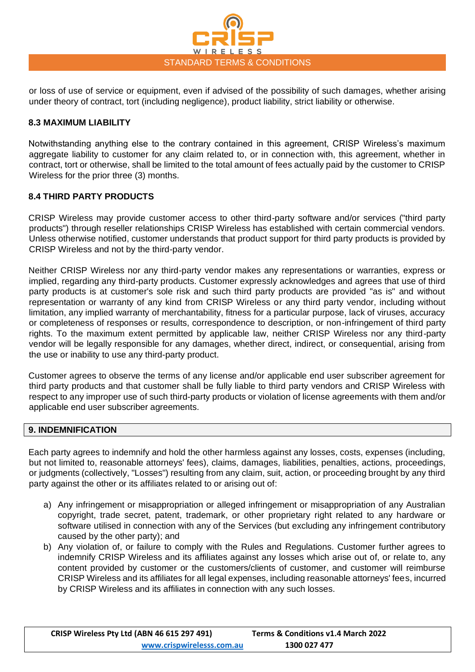

or loss of use of service or equipment, even if advised of the possibility of such damages, whether arising under theory of contract, tort (including negligence), product liability, strict liability or otherwise.

# **8.3 MAXIMUM LIABILITY**

Notwithstanding anything else to the contrary contained in this agreement, CRISP Wireless's maximum aggregate liability to customer for any claim related to, or in connection with, this agreement, whether in contract, tort or otherwise, shall be limited to the total amount of fees actually paid by the customer to CRISP Wireless for the prior three (3) months.

# **8.4 THIRD PARTY PRODUCTS**

CRISP Wireless may provide customer access to other third-party software and/or services ("third party products") through reseller relationships CRISP Wireless has established with certain commercial vendors. Unless otherwise notified, customer understands that product support for third party products is provided by CRISP Wireless and not by the third-party vendor.

Neither CRISP Wireless nor any third-party vendor makes any representations or warranties, express or implied, regarding any third-party products. Customer expressly acknowledges and agrees that use of third party products is at customer's sole risk and such third party products are provided "as is" and without representation or warranty of any kind from CRISP Wireless or any third party vendor, including without limitation, any implied warranty of merchantability, fitness for a particular purpose, lack of viruses, accuracy or completeness of responses or results, correspondence to description, or non-infringement of third party rights. To the maximum extent permitted by applicable law, neither CRISP Wireless nor any third-party vendor will be legally responsible for any damages, whether direct, indirect, or consequential, arising from the use or inability to use any third-party product.

Customer agrees to observe the terms of any license and/or applicable end user subscriber agreement for third party products and that customer shall be fully liable to third party vendors and CRISP Wireless with respect to any improper use of such third-party products or violation of license agreements with them and/or applicable end user subscriber agreements.

#### **9. INDEMNIFICATION**

Each party agrees to indemnify and hold the other harmless against any losses, costs, expenses (including, but not limited to, reasonable attorneys' fees), claims, damages, liabilities, penalties, actions, proceedings, or judgments (collectively, "Losses") resulting from any claim, suit, action, or proceeding brought by any third party against the other or its affiliates related to or arising out of:

- a) Any infringement or misappropriation or alleged infringement or misappropriation of any Australian copyright, trade secret, patent, trademark, or other proprietary right related to any hardware or software utilised in connection with any of the Services (but excluding any infringement contributory caused by the other party); and
- b) Any violation of, or failure to comply with the Rules and Regulations. Customer further agrees to indemnify CRISP Wireless and its affiliates against any losses which arise out of, or relate to, any content provided by customer or the customers/clients of customer, and customer will reimburse CRISP Wireless and its affiliates for all legal expenses, including reasonable attorneys' fees, incurred by CRISP Wireless and its affiliates in connection with any such losses.

| CRISP Wireless Pty Ltd (ABN 46 615 297 491) | Terms & Conditions v1.4 March 2022 |
|---------------------------------------------|------------------------------------|
| www.crispwirelesss.com.au                   | 1300 027 477                       |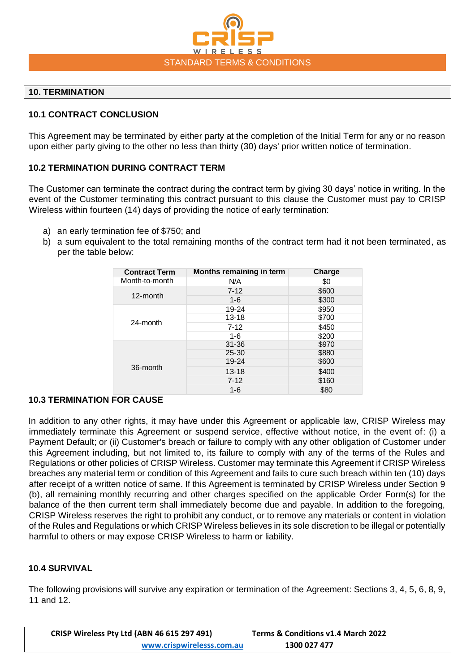

# **10. TERMINATION**

### **10.1 CONTRACT CONCLUSION**

This Agreement may be terminated by either party at the completion of the Initial Term for any or no reason upon either party giving to the other no less than thirty (30) days' prior written notice of termination.

# **10.2 TERMINATION DURING CONTRACT TERM**

The Customer can terminate the contract during the contract term by giving 30 days' notice in writing. In the event of the Customer terminating this contract pursuant to this clause the Customer must pay to CRISP Wireless within fourteen (14) days of providing the notice of early termination:

- a) an early termination fee of \$750; and
- b) a sum equivalent to the total remaining months of the contract term had it not been terminated, as per the table below:

| <b>Contract Term</b> | Months remaining in term | Charge |
|----------------------|--------------------------|--------|
| Month-to-month       | N/A                      | \$0    |
| 12-month             | $7 - 12$                 | \$600  |
|                      | $1 - 6$                  | \$300  |
| 24-month             | 19-24                    | \$950  |
|                      | $13 - 18$                | \$700  |
|                      | $7 - 12$                 | \$450  |
|                      | $1 - 6$                  | \$200  |
|                      | $31 - 36$                | \$970  |
| 36-month             | $25 - 30$                | \$880  |
|                      | 19-24                    | \$600  |
|                      | $13 - 18$                | \$400  |
|                      | $7 - 12$                 | \$160  |
|                      | $1 - 6$                  | \$80   |

# **10.3 TERMINATION FOR CAUSE**

In addition to any other rights, it may have under this Agreement or applicable law, CRISP Wireless may immediately terminate this Agreement or suspend service, effective without notice, in the event of: (i) a Payment Default; or (ii) Customer's breach or failure to comply with any other obligation of Customer under this Agreement including, but not limited to, its failure to comply with any of the terms of the Rules and Regulations or other policies of CRISP Wireless. Customer may terminate this Agreement if CRISP Wireless breaches any material term or condition of this Agreement and fails to cure such breach within ten (10) days after receipt of a written notice of same. If this Agreement is terminated by CRISP Wireless under Section 9 (b), all remaining monthly recurring and other charges specified on the applicable Order Form(s) for the balance of the then current term shall immediately become due and payable. In addition to the foregoing, CRISP Wireless reserves the right to prohibit any conduct, or to remove any materials or content in violation of the Rules and Regulations or which CRISP Wireless believes in its sole discretion to be illegal or potentially harmful to others or may expose CRISP Wireless to harm or liability.

#### **10.4 SURVIVAL**

The following provisions will survive any expiration or termination of the Agreement: Sections 3, 4, 5, 6, 8, 9, 11 and 12.

| CRISP Wireless Pty Ltd (ABN 46 615 297 491) | Terms & Conditions v1.4 March 2022 |
|---------------------------------------------|------------------------------------|
| www.crispwirelesss.com.au                   | 1300 027 477                       |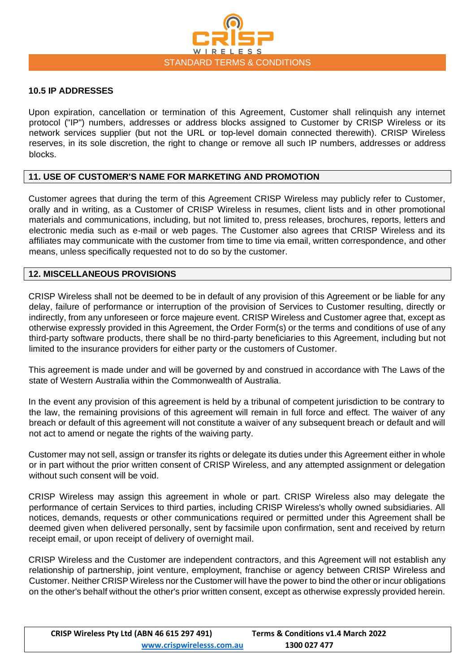

#### **10.5 IP ADDRESSES**

Upon expiration, cancellation or termination of this Agreement, Customer shall relinquish any internet protocol ("IP") numbers, addresses or address blocks assigned to Customer by CRISP Wireless or its network services supplier (but not the URL or top-level domain connected therewith). CRISP Wireless reserves, in its sole discretion, the right to change or remove all such IP numbers, addresses or address blocks.

#### **11. USE OF CUSTOMER'S NAME FOR MARKETING AND PROMOTION**

Customer agrees that during the term of this Agreement CRISP Wireless may publicly refer to Customer, orally and in writing, as a Customer of CRISP Wireless in resumes, client lists and in other promotional materials and communications, including, but not limited to, press releases, brochures, reports, letters and electronic media such as e-mail or web pages. The Customer also agrees that CRISP Wireless and its affiliates may communicate with the customer from time to time via email, written correspondence, and other means, unless specifically requested not to do so by the customer.

#### **12. MISCELLANEOUS PROVISIONS**

CRISP Wireless shall not be deemed to be in default of any provision of this Agreement or be liable for any delay, failure of performance or interruption of the provision of Services to Customer resulting, directly or indirectly, from any unforeseen or force majeure event. CRISP Wireless and Customer agree that, except as otherwise expressly provided in this Agreement, the Order Form(s) or the terms and conditions of use of any third-party software products, there shall be no third-party beneficiaries to this Agreement, including but not limited to the insurance providers for either party or the customers of Customer.

This agreement is made under and will be governed by and construed in accordance with The Laws of the state of Western Australia within the Commonwealth of Australia.

In the event any provision of this agreement is held by a tribunal of competent jurisdiction to be contrary to the law, the remaining provisions of this agreement will remain in full force and effect. The waiver of any breach or default of this agreement will not constitute a waiver of any subsequent breach or default and will not act to amend or negate the rights of the waiving party.

Customer may not sell, assign or transfer its rights or delegate its duties under this Agreement either in whole or in part without the prior written consent of CRISP Wireless, and any attempted assignment or delegation without such consent will be void.

CRISP Wireless may assign this agreement in whole or part. CRISP Wireless also may delegate the performance of certain Services to third parties, including CRISP Wireless's wholly owned subsidiaries. All notices, demands, requests or other communications required or permitted under this Agreement shall be deemed given when delivered personally, sent by facsimile upon confirmation, sent and received by return receipt email, or upon receipt of delivery of overnight mail.

CRISP Wireless and the Customer are independent contractors, and this Agreement will not establish any relationship of partnership, joint venture, employment, franchise or agency between CRISP Wireless and Customer. Neither CRISP Wireless nor the Customer will have the power to bind the other or incur obligations on the other's behalf without the other's prior written consent, except as otherwise expressly provided herein.

| CRISP Wireless Pty Ltd (ABN 46 615 297 491) | Terms & Conditions v1.4 March 2022 |
|---------------------------------------------|------------------------------------|
| www.crispwirelesss.com.au                   | 1300 027 477                       |